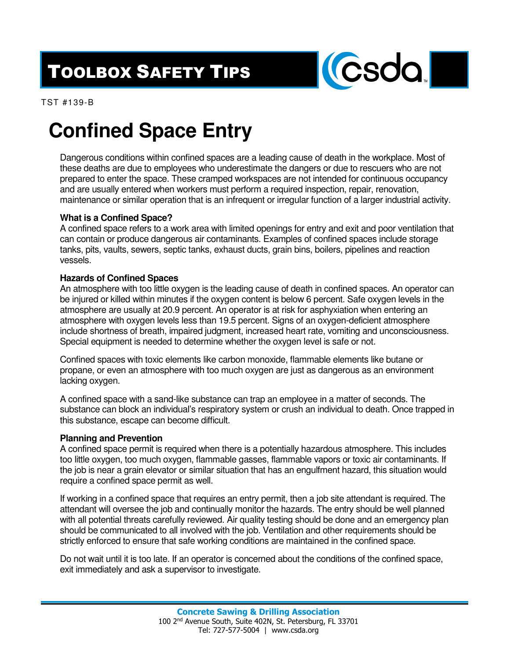## TOOLBOX SAFETY TIPS



TST #139-B

# **Confined Space Entry**

Dangerous conditions within confined spaces are a leading cause of death in the workplace. Most of these deaths are due to employees who underestimate the dangers or due to rescuers who are not prepared to enter the space. These cramped workspaces are not intended for continuous occupancy and are usually entered when workers must perform a required inspection, repair, renovation, maintenance or similar operation that is an infrequent or irregular function of a larger industrial activity.

### **What is a Confined Space?**

A confined space refers to a work area with limited openings for entry and exit and poor ventilation that can contain or produce dangerous air contaminants. Examples of confined spaces include storage tanks, pits, vaults, sewers, septic tanks, exhaust ducts, grain bins, boilers, pipelines and reaction vessels.

#### **Hazards of Confined Spaces**

An atmosphere with too little oxygen is the leading cause of death in confined spaces. An operator can be injured or killed within minutes if the oxygen content is below 6 percent. Safe oxygen levels in the atmosphere are usually at 20.9 percent. An operator is at risk for asphyxiation when entering an atmosphere with oxygen levels less than 19.5 percent. Signs of an oxygen-deficient atmosphere include shortness of breath, impaired judgment, increased heart rate, vomiting and unconsciousness. Special equipment is needed to determine whether the oxygen level is safe or not.

Confined spaces with toxic elements like carbon monoxide, flammable elements like butane or propane, or even an atmosphere with too much oxygen are just as dangerous as an environment lacking oxygen.

A confined space with a sand-like substance can trap an employee in a matter of seconds. The substance can block an individual's respiratory system or crush an individual to death. Once trapped in this substance, escape can become difficult.

### **Planning and Prevention**

A confined space permit is required when there is a potentially hazardous atmosphere. This includes too little oxygen, too much oxygen, flammable gasses, flammable vapors or toxic air contaminants. If the job is near a grain elevator or similar situation that has an engulfment hazard, this situation would require a confined space permit as well.

If working in a confined space that requires an entry permit, then a job site attendant is required. The attendant will oversee the job and continually monitor the hazards. The entry should be well planned with all potential threats carefully reviewed. Air quality testing should be done and an emergency plan should be communicated to all involved with the job. Ventilation and other requirements should be strictly enforced to ensure that safe working conditions are maintained in the confined space.

Do not wait until it is too late. If an operator is concerned about the conditions of the confined space, exit immediately and ask a supervisor to investigate.